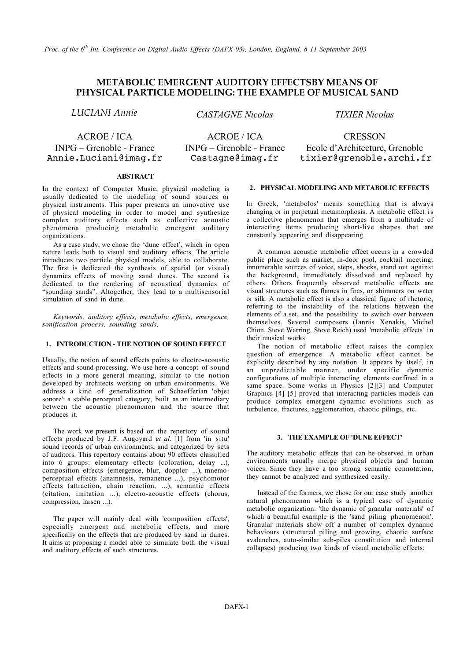# **METABOLIC EMERGENT AUDITORY EFFECTSBY MEANS OF PHYSICAL PARTICLE MODELING: THE EXAMPLE OF MUSICAL SAND**

*LUCIANI Annie CASTAGNE Nicolas TIXIER Nicolas*

Annie.Luciani@imag.fr Castagne@imag.fr tixier@grenoble.archi.fr

ACROE / ICA ACROE / ICA CRESSON

INPG – Grenoble - France INPG – Grenoble - France Ecole d'Architecture, Grenoble

## **ABSTRACT**

In the context of Computer Music, physical modeling is usually dedicated to the modeling of sound sources or physical instruments. This paper presents an innovative use of physical modeling in order to model and synthesize complex auditory effects such as collective acoustic phenomena producing metabolic emergent auditory organizations.

As a case study, we chose the 'dune effect', which in open nature leads both to visual and auditory effects. The article introduces two particle physical models, able to collaborate. The first is dedicated the synthesis of spatial (or visual) dynamics effects of moving sand dunes. The second is dedicated to the rendering of acoustical dynamics of "sounding sands". Altogether, they lead to a multisensorial simulation of sand in dune.

*Keywords: auditory effects, metabolic effects, emergence, sonification process, sounding sands,*

# **1. INTRODUCTION - THE NOTION OF SOUND EFFECT**

Usually, the notion of sound effects points to electro-acoustic effects and sound processing. We use here a concept of sound effects in a more general meaning, similar to the notion developed by architects working on urban environments. We address a kind of generalization of Schaefferian 'objet sonore': a stable perceptual category, built as an intermediary between the acoustic phenomenon and the source that produces it.

The work we present is based on the repertory of sound effects produced by J.F. Augoyard *et al.* [1] from 'in situ' sound records of urban environments, and categorized by sets of auditors. This repertory contains about 90 effects classified into 6 groups: elementary effects (coloration, delay ...), composition effects (emergence, blur, doppler ...), mnemoperceptual effects (anamnesis, remanence ...), psychomotor effects (attraction, chain reaction, ...), semantic effects (citation, imitation ...), electro-acoustic effects (chorus, compression, larsen ...).

The paper will mainly deal with 'composition effects', especially emergent and metabolic effects, and more specifically on the effects that are produced by sand in dunes. It aims at proposing a model able to simulate both the visual and auditory effects of such structures.

## **2. PHYSICAL MODELING AND METABOLIC EFFECTS**

In Greek, 'metabolos' means something that is always changing or in perpetual metamorphosis. A metabolic effect is a collective phenomenon that emerges from a multitude of interacting items producing short-live shapes that are constantly appearing and disappearing.

A common acoustic metabolic effect occurs in a crowded public place such as market, in-door pool, cocktail meeting: innumerable sources of voice, steps, shocks, stand out against the background, immediately dissolved and replaced by others. Others frequently observed metabolic effects are visual structures such as flames in fires, or shimmers on water or silk. A metabolic effect is also a classical figure of rhetoric, referring to the instability of the relations between the elements of a set, and the possibility to switch over between themselves. Several composers (Iannis Xenakis, Michel Chion, Steve Warring, Steve Reich) used 'metabolic effects' in their musical works.

The notion of metabolic effect raises the complex question of emergence. A metabolic effect cannot be explicitly described by any notation. It appears by itself, in an unpredictable manner, under specific dynamic configurations of multiple interacting elements confined in a same space. Some works in Physics [2][3] and Computer Graphics [4] [5] proved that interacting particles models can produce complex emergent dynamic evolutions such as turbulence, fractures, agglomeration, chaotic pilings, etc.

## **3. THE EXAMPLE OF 'DUNE EFFECT'**

The auditory metabolic effects that can be observed in urban environments usually merge physical objects and human voices. Since they have a too strong semantic connotation, they cannot be analyzed and synthesized easily.

Instead of the formers, we chose for our case study another natural phenomenon which is a typical case of dynamic metabolic organization: 'the dynamic of granular materials' of which a beautiful example is the 'sand piling phenomenon'. Granular materials show off a number of complex dynamic behaviours (structured piling and growing, chaotic surface avalanches, auto-similar sub-piles constitution and internal collapses) producing two kinds of visual metabolic effects: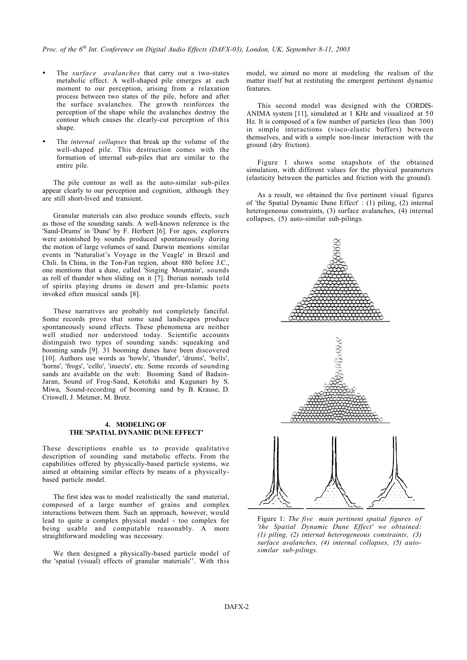The *surface avalanches* that carry out a two-states metabolic effect. A well-shaped pile emerges at each moment to our perception, arising from a relaxation process between two states of the pile, before and after the surface avalanches. The growth reinforces the perception of the shape while the avalanches destroy the contour which causes the clearly-cut perception of this shape.

The *internal collapses* that break up the volume of the well-shaped pile. This destruction comes with the formation of internal sub-piles that are similar to the entire pile.

The pile contour as well as the auto-similar sub-piles appear clearly to our perception and cognition, although they are still short-lived and transient.

Granular materials can also produce sounds effects, such as those of the sounding sands. A well-known reference is the 'Sand-Drums' in 'Dune' by F. Herbert [6]. For ages, explorers were astonished by sounds produced spontaneously during the motion of large volumes of sand. Darwin mentions similar events in 'Naturalist's Voyage in the Veagle' in Brazil and Chili. In China, in the Ton-Fan region, about 880 before J.C., one mentions that a dune, called 'Singing Mountain', sounds as roll of thunder when sliding on it [7]. Iberian nomads told of spirits playing drums in desert and pre-Islamic poets invoked often musical sands [8].

These narratives are probably not completely fanciful. Some records prove that some sand landscapes produce spontaneously sound effects. These phenomena are neither well studied nor understood today. Scientific accounts distinguish two types of sounding sands: squeaking and booming sands [9]. 31 booming dunes have been discovered [10]. Authors use words as 'howls', 'thunder', 'drums', 'bells', 'horns', 'frogs', 'cello', 'insects', etc. Some records of sounding sands are available on the web: Booming Sand of Badain-Jaran, Sound of Frog-Sand, Kotohiki and Kugunari by S. Miwa, Sound-recording of booming sand by B. Krause, D. Criswell, J. Metzner, M. Bretz.

### **4. MODELING OF THE 'SPATIAL DYNAMIC DUNE EFFECT'**

These descriptions enable us to provide qualitative description of sounding sand metabolic effects. From the capabilities offered by physically-based particle systems, we aimed at obtaining similar effects by means of a physicallybased particle model.

The first idea was to model realistically the sand material, composed of a large number of grains and complex interactions between them. Such an approach, however, would lead to quite a complex physical model - too complex for being usable and computable reasonably. A more straightforward modeling was necessary.

We then designed a physically-based particle model of the 'spatial (visual) effects of granular materials''. With this model, we aimed no more at modeling the realism of the matter itself but at restituting the emergent pertinent dynamic features.

This second model was designed with the CORDIS-ANIMA system [11], simulated at 1 KHz and visualized at 50 Hz. It is composed of a few number of particles (less than 300) in simple interactions (visco-elastic buffers) between themselves, and with a simple non-linear interaction with the ground (dry friction).

Figure 1 shows some snapshots of the obtained simulation, with different values for the physical parameters (elasticity between the particles and friction with the ground).

As a result, we obtained the five pertinent visual figures of 'the Spatial Dynamic Dune Effect' : (1) piling, (2) internal heterogeneous constraints, (3) surface avalanches, (4) internal collapses, (5) auto-similar sub-pilings.



Figure 1: *The five main pertinent spatial figures of 'the Spatial Dynamic Dune Effect' we obtained: (1) piling, (2) internal heterogeneous constraints, (3) surface avalanches, (4) internal collapses, (5) autosimilar sub-pilings.*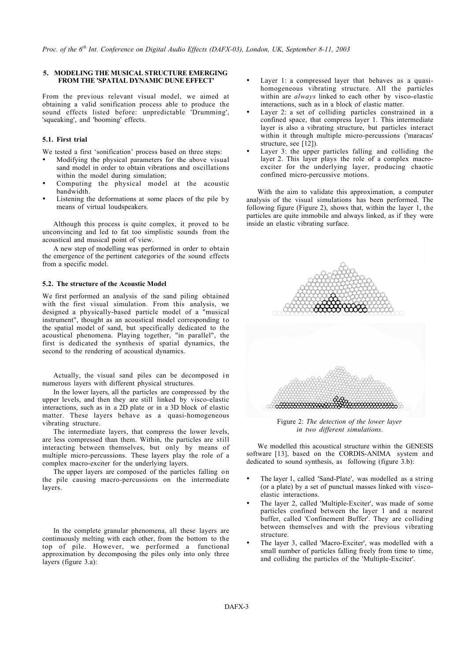### **5. MODELING THE MUSICAL STRUCTURE EMERGING FROM THE 'SPATIAL DYNAMIC DUNE EFFECT'**

From the previous relevant visual model, we aimed at obtaining a valid sonification process able to produce the sound effects listed before: unpredictable 'Drumming', 'squeaking', and 'booming' effects.

## **5.1. First trial**

We tested a first 'sonification' process based on three steps:

Modifying the physical parameters for the above visual sand model in order to obtain vibrations and oscillations within the model during simulation;

Computing the physical model at the acoustic bandwidth.

Listening the deformations at some places of the pile by means of virtual loudspeakers.

Although this process is quite complex, it proved to be unconvincing and led to fat too simplistic sounds from the acoustical and musical point of view.

A new step of modelling was performed in order to obtain the emergence of the pertinent categories of the sound effects from a specific model.

#### **5.2. The structure of the Acoustic Model**

We first performed an analysis of the sand piling obtained with the first visual simulation. From this analysis, we designed a physically-based particle model of a "musical instrument", thought as an acoustical model corresponding to the spatial model of sand, but specifically dedicated to the acoustical phenomena. Playing together, "in parallel", the first is dedicated the synthesis of spatial dynamics, the second to the rendering of acoustical dynamics.

Actually, the visual sand piles can be decomposed in numerous layers with different physical structures.

In the lower layers, all the particles are compressed by the upper levels, and then they are still linked by visco-elastic interactions, such as in a 2D plate or in a 3D block of elastic matter. These layers behave as a quasi-homogeneous vibrating structure.

The intermediate layers, that compress the lower levels, are less compressed than them. Within, the particles are still interacting between themselves, but only by means of multiple micro-percussions. These layers play the role of a complex macro-exciter for the underlying layers.

The upper layers are composed of the particles falling on the pile causing macro-percussions on the intermediate layers.

In the complete granular phenomena, all these layers are continuously melting with each other, from the bottom to the top of pile. However, we performed a functional approximation by decomposing the piles only into only three layers (figure 3.a):

Layer 1: a compressed layer that behaves as a quasihomogeneous vibrating structure. All the particles within are *always* linked to each other by visco-elastic interactions, such as in a block of elastic matter.

Layer 2: a set of colliding particles constrained in a confined space, that compress layer 1. This intermediate layer is also a vibrating structure, but particles interact within it through multiple micro-percussions ('maracas' structure, see [12]).

Layer 3: the upper particles falling and colliding the layer 2. This layer plays the role of a complex macroexciter for the underlying layer, producing chaotic confined micro-percussive motions.

With the aim to validate this approximation, a computer analysis of the visual simulations has been performed. The following figure (Figure 2), shows that, within the layer 1, the particles are quite immobile and always linked, as if they were inside an elastic vibrating surface.



Figure 2: *The detection of the lower layer in two different simulations.*

We modelled this acoustical structure within the GENESIS software [13], based on the CORDIS-ANIMA system and dedicated to sound synthesis, as following (figure 3.b):

The layer 1, called 'Sand-Plate', was modelled as a string (or a plate) by a set of punctual masses linked with viscoelastic interactions.

The layer 2, called 'Multiple-Exciter', was made of some particles confined between the layer 1 and a nearest buffer, called 'Confinement Buffer'. They are colliding between themselves and with the previous vibrating structure.

The layer 3, called 'Macro-Exciter', was modelled with a small number of particles falling freely from time to time, and colliding the particles of the 'Multiple-Exciter'.